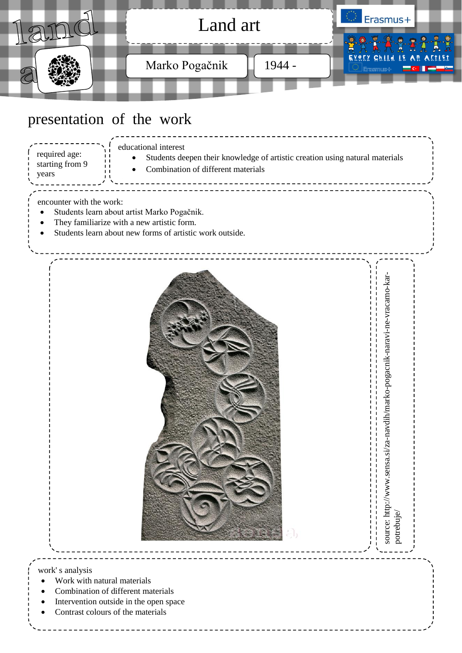

|  | Students deepen their knowledge of artistic creation using natural materials |
|--|------------------------------------------------------------------------------|
|  | • Combination of different materials                                         |

#### encounter with the work:

starting from 9

years

- Students learn about artist Marko Pogačnik.
- They familiarize with a new artistic form.
- Students learn about new forms of artistic work outside.

........................



source: http://www.sensa.si/za-navdih/marko-pogacnik-naravi-ne-vracamo-kar-<br>potrebuje/

potrebuje/

source: http://www.sensa.si/za-navdih/marko-pogacnik-naravi-ne-vracamo-kar-

### work' s analysis

- Work with natural materials
- Combination of different materials
- Intervention outside in the open space
- Contrast colours of the materials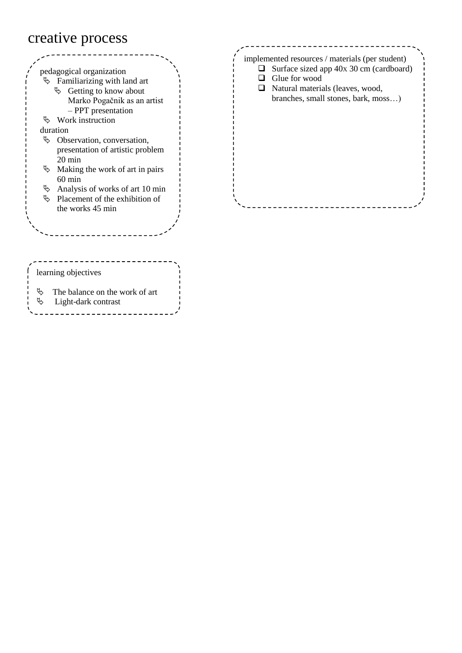### creative process



|  | implemented resources / materials (per student) |  |
|--|-------------------------------------------------|--|
|  | $\Box$ Surface sized app 40x 30 cm (cardboard)  |  |
|  | Glue for wood                                   |  |
|  | $\Box$ Natural materials (leaves, wood,         |  |
|  | branches, small stones, bark, moss)             |  |
|  |                                                 |  |
|  |                                                 |  |
|  |                                                 |  |
|  |                                                 |  |
|  |                                                 |  |
|  |                                                 |  |
|  |                                                 |  |
|  |                                                 |  |
|  |                                                 |  |

- The balance on the work of art
- Light-dark contrast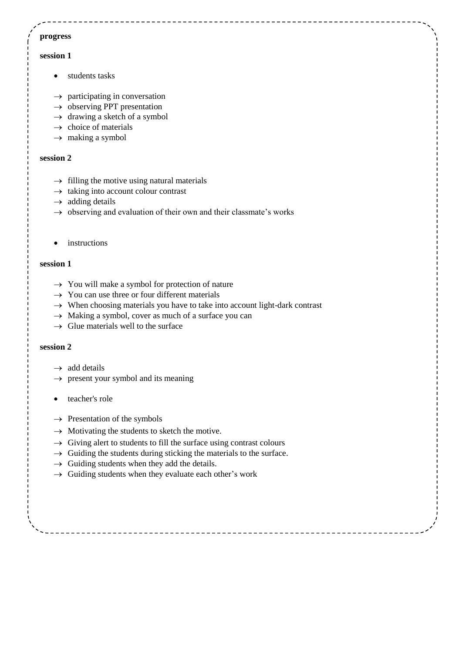### **progress**

#### **session 1**

- students tasks
- $\rightarrow$  participating in conversation
- $\rightarrow$  observing PPT presentation
- $\rightarrow$  drawing a sketch of a symbol
- $\rightarrow$  choice of materials
- $\rightarrow$  making a symbol

#### **session 2**

- $\rightarrow$  filling the motive using natural materials
- $\rightarrow$  taking into account colour contrast
- $\rightarrow$  adding details
- $\rightarrow$  observing and evaluation of their own and their classmate's works
- instructions

#### **session 1**

- $\rightarrow$  You will make a symbol for protection of nature
- $\rightarrow$  You can use three or four different materials
- $\rightarrow$  When choosing materials you have to take into account light-dark contrast
- $\rightarrow$  Making a symbol, cover as much of a surface you can
- $\rightarrow$  Glue materials well to the surface

#### **session 2**

- $\rightarrow$  add details
- $\rightarrow$  present your symbol and its meaning
- teacher's role
- $\rightarrow$  Presentation of the symbols
- $\rightarrow$  Motivating the students to sketch the motive.
- $\rightarrow$  Giving alert to students to fill the surface using contrast colours
- $\rightarrow$  Guiding the students during sticking the materials to the surface.
- $\rightarrow$  Guiding students when they add the details.
- $\rightarrow$  Guiding students when they evaluate each other's work